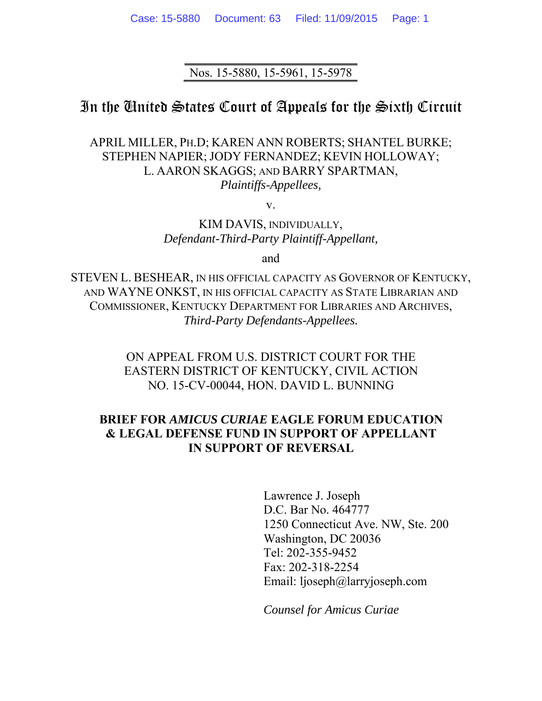Nos. 15-5880, 15-5961, 15-5978

## In the United States Court of Appeals for the Sixth Circuit

APRIL MILLER, PH.D; KAREN ANN ROBERTS; SHANTEL BURKE; STEPHEN NAPIER; JODY FERNANDEZ; KEVIN HOLLOWAY; L. AARON SKAGGS; AND BARRY SPARTMAN, *Plaintiffs-Appellees,* 

v.

KIM DAVIS, INDIVIDUALLY, *Defendant-Third-Party Plaintiff-Appellant,* 

and

STEVEN L. BESHEAR, IN HIS OFFICIAL CAPACITY AS GOVERNOR OF KENTUCKY, AND WAYNE ONKST, IN HIS OFFICIAL CAPACITY AS STATE LIBRARIAN AND COMMISSIONER, KENTUCKY DEPARTMENT FOR LIBRARIES AND ARCHIVES, *Third-Party Defendants-Appellees.* 

> ON APPEAL FROM U.S. DISTRICT COURT FOR THE EASTERN DISTRICT OF KENTUCKY, CIVIL ACTION NO. 15-CV-00044, HON. DAVID L. BUNNING

## **BRIEF FOR** *AMICUS CURIAE* **EAGLE FORUM EDUCATION & LEGAL DEFENSE FUND IN SUPPORT OF APPELLANT IN SUPPORT OF REVERSAL**

Lawrence J. Joseph D.C. Bar No. 464777 1250 Connecticut Ave. NW, Ste. 200 Washington, DC 20036 Tel: 202-355-9452 Fax: 202-318-2254 Email: ljoseph@larryjoseph.com

*Counsel for Amicus Curiae*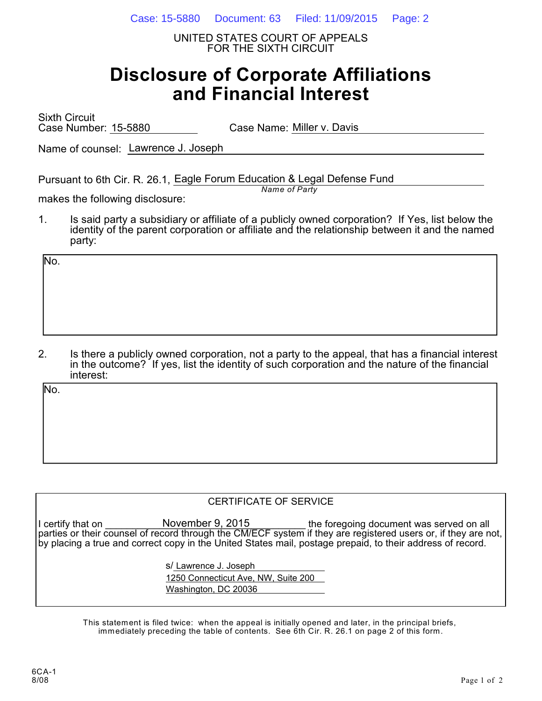Case: 15-5880 Document: 63 Filed: 11/09/2015 Page: 2

UNITED STATES COURT OF APPEALS FOR THE SIXTH CIRCUIT

# **Disclosure of Corporate Affiliations and Financial Interest**

Sixth Circuit Case Number: 15-5880 Case Name: Miller v. Davis

Name of counsel: Lawrence J. Joseph

Pursuant to 6th Cir. R. 26.1, Eagle Forum Education & Legal Defense Fund *Name of Party*

makes the following disclosure:

1. Is said party a subsidiary or affiliate of a publicly owned corporation? If Yes, list below the identity of the parent corporation or affiliate and the relationship between it and the named party:

No.

2. Is there a publicly owned corporation, not a party to the appeal, that has a financial interest in the outcome? If yes, list the identity of such corporation and the nature of the financial interest:

No.

#### CERTIFICATE OF SERVICE

I certify that on **If concurrent in Concurrent** November 9, 2015 **the foregoing document was served on all** parties or their counsel of record through the CM/ECF system if they are registered users or, if they are not, by placing a true and correct copy in the United States mail, postage prepaid, to their address of record. November 9, 2015

s/ Lawrence J. Joseph

1250 Connecticut Ave, NW, Suite 200 Washington, DC 20036

This statement is filed twice: when the appeal is initially opened and later, in the principal briefs, immediately preceding the table of contents. See 6th Cir. R. 26.1 on page 2 of this form.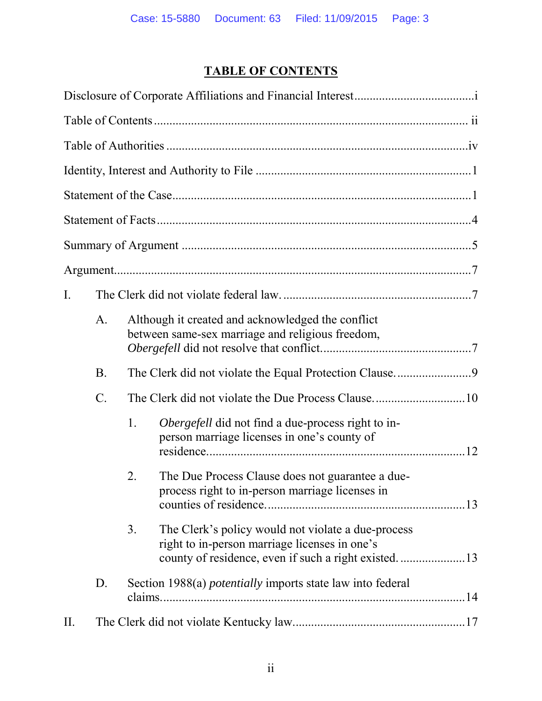## **TABLE OF CONTENTS**

| I.  |           |                                                                                                                                                                    |
|-----|-----------|--------------------------------------------------------------------------------------------------------------------------------------------------------------------|
|     | A.        | Although it created and acknowledged the conflict<br>between same-sex marriage and religious freedom,                                                              |
|     | <b>B.</b> |                                                                                                                                                                    |
|     | C.        |                                                                                                                                                                    |
|     |           | <i>Obergefell</i> did not find a due-process right to in-<br>1.<br>person marriage licenses in one's county of                                                     |
|     |           | The Due Process Clause does not guarantee a due-<br>2.<br>process right to in-person marriage licenses in                                                          |
|     |           | The Clerk's policy would not violate a due-process<br>3.<br>right to in-person marriage licenses in one's<br>county of residence, even if such a right existed. 13 |
|     | D.        | Section 1988(a) <i>potentially</i> imports state law into federal                                                                                                  |
| II. |           |                                                                                                                                                                    |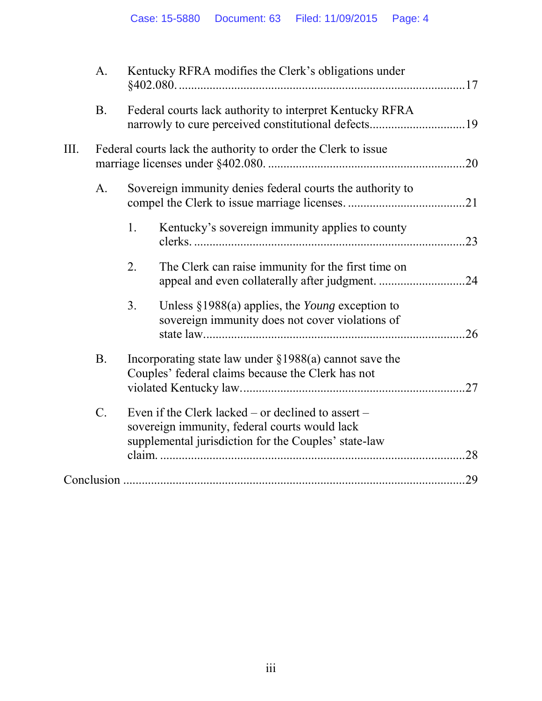|      | A <sub>1</sub>  |    | Kentucky RFRA modifies the Clerk's obligations under                                                                                                        |     |
|------|-----------------|----|-------------------------------------------------------------------------------------------------------------------------------------------------------------|-----|
|      | <b>B.</b>       |    | Federal courts lack authority to interpret Kentucky RFRA<br>narrowly to cure perceived constitutional defects19                                             |     |
| III. |                 |    | Federal courts lack the authority to order the Clerk to issue                                                                                               |     |
|      | A <sub>1</sub>  |    | Sovereign immunity denies federal courts the authority to                                                                                                   |     |
|      |                 | 1. | Kentucky's sovereign immunity applies to county                                                                                                             |     |
|      |                 | 2. | The Clerk can raise immunity for the first time on                                                                                                          |     |
|      |                 | 3. | Unless $\S 1988(a)$ applies, the Young exception to<br>sovereign immunity does not cover violations of                                                      |     |
|      | <b>B.</b>       |    | Incorporating state law under $\S 1988(a)$ cannot save the<br>Couples' federal claims because the Clerk has not                                             | .27 |
|      | $\mathcal{C}$ . |    | Even if the Clerk lacked – or declined to assert –<br>sovereign immunity, federal courts would lack<br>supplemental jurisdiction for the Couples' state-law | .28 |
|      |                 |    |                                                                                                                                                             |     |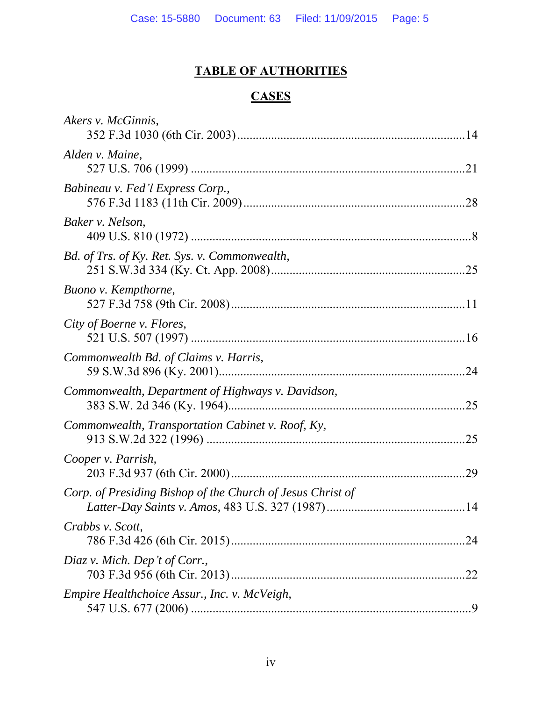## **TABLE OF AUTHORITIES**

# **CASES**

| Akers v. McGinnis,                                         |     |
|------------------------------------------------------------|-----|
| Alden v. Maine,                                            |     |
| Babineau v. Fed'l Express Corp.,                           |     |
| Baker v. Nelson,                                           |     |
| Bd. of Trs. of Ky. Ret. Sys. v. Commonwealth,              |     |
| Buono v. Kempthorne,                                       |     |
| City of Boerne v. Flores,                                  |     |
| Commonwealth Bd. of Claims v. Harris,                      |     |
| Commonwealth, Department of Highways v. Davidson,          |     |
| Commonwealth, Transportation Cabinet v. Roof, Ky,          |     |
| Cooper v. Parrish,                                         |     |
| Corp. of Presiding Bishop of the Church of Jesus Christ of |     |
| Crabbs v. Scott,                                           |     |
| Diaz v. Mich. Dep't of Corr.,                              | .22 |
| Empire Healthchoice Assur., Inc. v. McVeigh,               |     |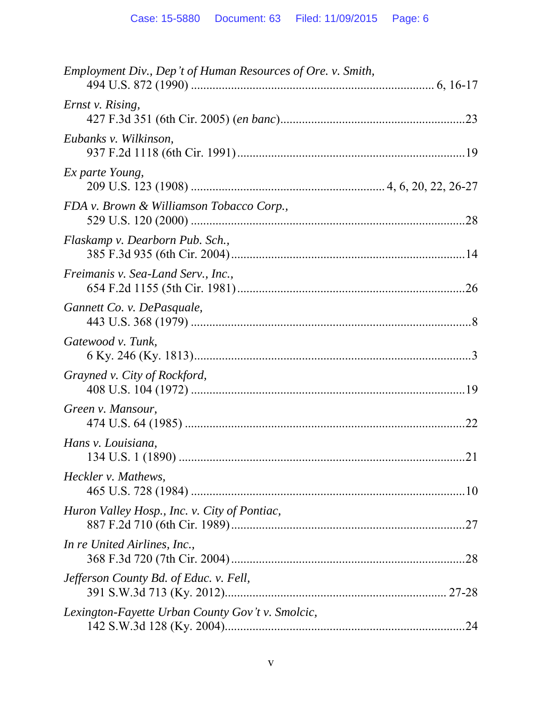| Employment Div., Dep't of Human Resources of Ore. v. Smith, |
|-------------------------------------------------------------|
| Ernst v. Rising,                                            |
| Eubanks v. Wilkinson,                                       |
| Ex parte Young,                                             |
| FDA v. Brown & Williamson Tobacco Corp.,                    |
| Flaskamp v. Dearborn Pub. Sch.,                             |
| Freimanis v. Sea-Land Serv., Inc.,                          |
| Gannett Co. v. DePasquale,                                  |
| Gatewood v. Tunk,                                           |
| Grayned v. City of Rockford,                                |
| Green v. Mansour,<br>.22                                    |
| Hans v. Louisiana,                                          |
| Heckler v. Mathews,                                         |
| Huron Valley Hosp., Inc. v. City of Pontiac,                |
| In re United Airlines, Inc.,                                |
| Jefferson County Bd. of Educ. v. Fell,                      |
| Lexington-Fayette Urban County Gov't v. Smolcic,            |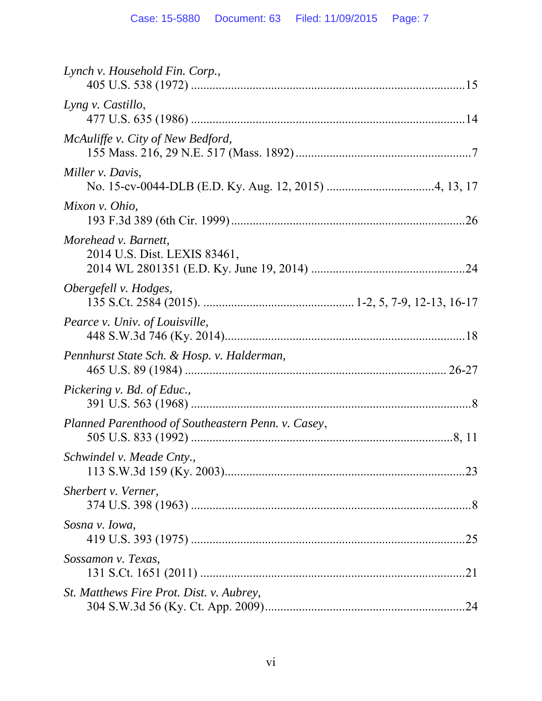| Lynch v. Household Fin. Corp.,                       |
|------------------------------------------------------|
| Lyng v. Castillo,                                    |
| McAuliffe v. City of New Bedford,                    |
| Miller v. Davis,                                     |
| Mixon v. Ohio,                                       |
| Morehead v. Barnett,<br>2014 U.S. Dist. LEXIS 83461, |
| Obergefell v. Hodges,                                |
| Pearce v. Univ. of Louisville,                       |
| Pennhurst State Sch. & Hosp. v. Halderman,           |
| Pickering v. Bd. of Educ.,                           |
| Planned Parenthood of Southeastern Penn. v. Casey,   |
| Schwindel v. Meade Cnty.,                            |
| Sherbert v. Verner,                                  |
| Sosna v. Iowa,                                       |
| Sossamon v. Texas,                                   |
| St. Matthews Fire Prot. Dist. v. Aubrey,             |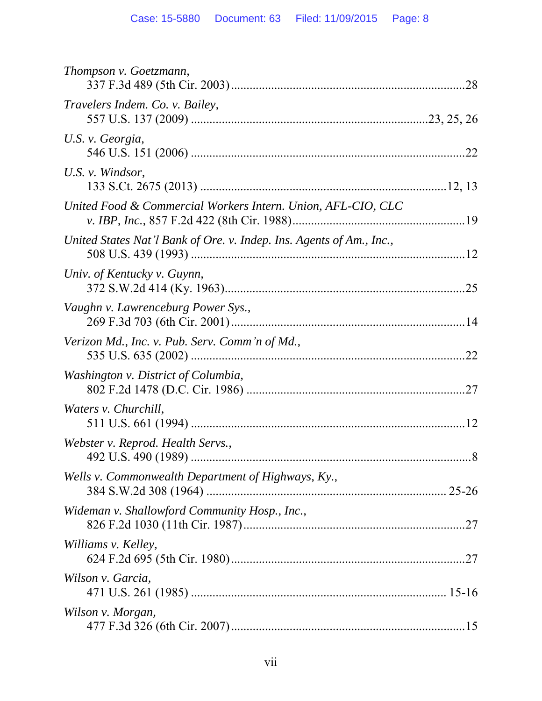| Thompson v. Goetzmann,                                               |  |
|----------------------------------------------------------------------|--|
| Travelers Indem. Co. v. Bailey,                                      |  |
| U.S. v. Georgia,                                                     |  |
| U.S. v. Windsor,                                                     |  |
| United Food & Commercial Workers Intern. Union, AFL-CIO, CLC         |  |
| United States Nat'l Bank of Ore. v. Indep. Ins. Agents of Am., Inc., |  |
| Univ. of Kentucky v. Guynn,                                          |  |
| Vaughn v. Lawrenceburg Power Sys.,                                   |  |
| Verizon Md., Inc. v. Pub. Serv. Comm'n of Md.,                       |  |
| Washington v. District of Columbia,                                  |  |
| Waters v. Churchill,                                                 |  |
| Webster v. Reprod. Health Servs.,                                    |  |
| Wells v. Commonwealth Department of Highways, Ky.,                   |  |
| Wideman v. Shallowford Community Hosp., Inc.,                        |  |
| Williams v. Kelley,                                                  |  |
| Wilson v. Garcia,                                                    |  |
| Wilson v. Morgan,                                                    |  |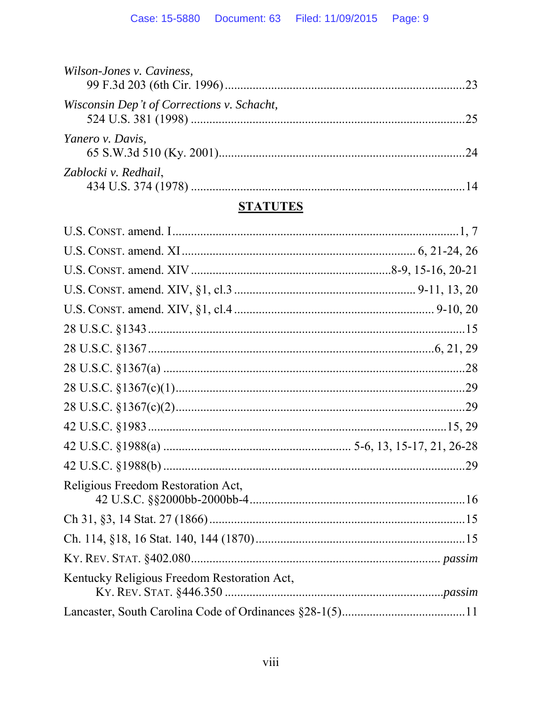| Wilson-Jones v. Caviness,                  |  |
|--------------------------------------------|--|
| Wisconsin Dep't of Corrections v. Schacht, |  |
| Yanero v. Davis,                           |  |
| Zablocki v. Redhail,                       |  |

## **STATUTES**

| Religious Freedom Restoration Act,          |  |
|---------------------------------------------|--|
|                                             |  |
|                                             |  |
|                                             |  |
|                                             |  |
| Kentucky Religious Freedom Restoration Act, |  |
|                                             |  |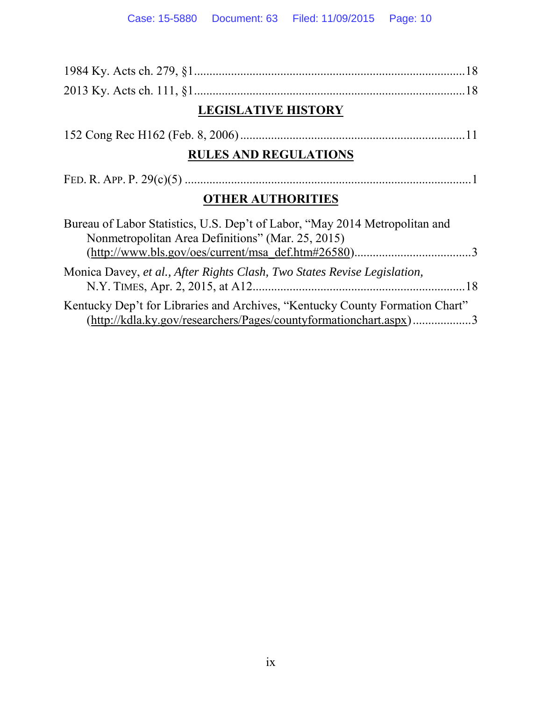| <b>LEGISLATIVE HISTORY</b>                                                                                                                                                                |
|-------------------------------------------------------------------------------------------------------------------------------------------------------------------------------------------|
|                                                                                                                                                                                           |
| <b>RULES AND REGULATIONS</b>                                                                                                                                                              |
|                                                                                                                                                                                           |
| <b>OTHER AUTHORITIES</b>                                                                                                                                                                  |
| Bureau of Labor Statistics, U.S. Dep't of Labor, "May 2014 Metropolitan and<br>Nonmetropolitan Area Definitions" (Mar. 25, 2015)<br>$(http://www.bls.gov/oes/current/msa def.htm#26580)3$ |
| Monica Davey, et al., After Rights Clash, Two States Revise Legislation,                                                                                                                  |
| Kentucky Dep't for Libraries and Archives, "Kentucky County Formation Chart"<br>(http://kdla.ky.gov/researchers/Pages/countyformationchart.aspx)3                                         |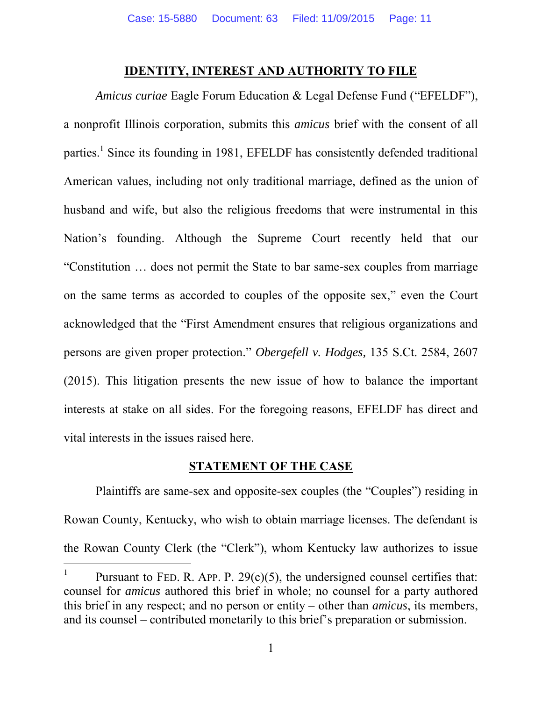### **IDENTITY, INTEREST AND AUTHORITY TO FILE**

*Amicus curiae* Eagle Forum Education & Legal Defense Fund ("EFELDF"), a nonprofit Illinois corporation, submits this *amicus* brief with the consent of all parties.<sup>1</sup> Since its founding in 1981, EFELDF has consistently defended traditional American values, including not only traditional marriage, defined as the union of husband and wife, but also the religious freedoms that were instrumental in this Nation's founding. Although the Supreme Court recently held that our "Constitution … does not permit the State to bar same-sex couples from marriage on the same terms as accorded to couples of the opposite sex," even the Court acknowledged that the "First Amendment ensures that religious organizations and persons are given proper protection." *Obergefell v. Hodges,* 135 S.Ct. 2584, 2607 (2015). This litigation presents the new issue of how to balance the important interests at stake on all sides. For the foregoing reasons, EFELDF has direct and vital interests in the issues raised here.

### **STATEMENT OF THE CASE**

Plaintiffs are same-sex and opposite-sex couples (the "Couples") residing in Rowan County, Kentucky, who wish to obtain marriage licenses. The defendant is the Rowan County Clerk (the "Clerk"), whom Kentucky law authorizes to issue

 $\overline{a}$ 

<sup>1</sup> Pursuant to FED. R. APP. P.  $29(c)(5)$ , the undersigned counsel certifies that: counsel for *amicus* authored this brief in whole; no counsel for a party authored this brief in any respect; and no person or entity – other than *amicus*, its members, and its counsel – contributed monetarily to this brief's preparation or submission.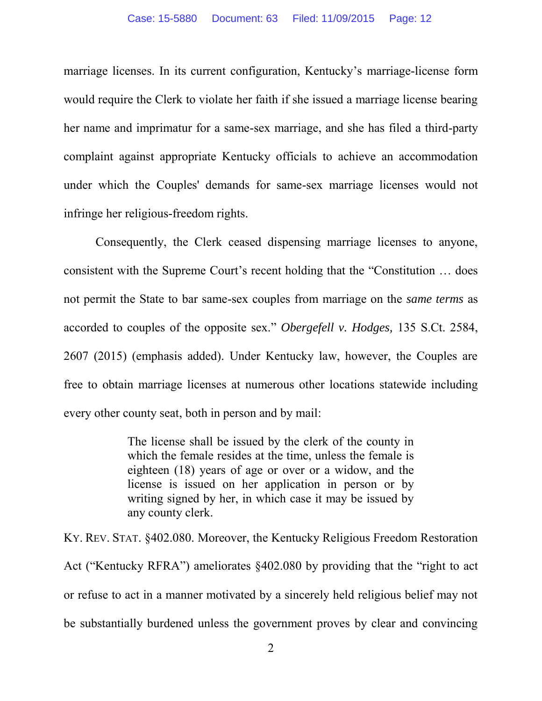marriage licenses. In its current configuration, Kentucky's marriage-license form would require the Clerk to violate her faith if she issued a marriage license bearing her name and imprimatur for a same-sex marriage, and she has filed a third-party complaint against appropriate Kentucky officials to achieve an accommodation under which the Couples' demands for same-sex marriage licenses would not infringe her religious-freedom rights.

Consequently, the Clerk ceased dispensing marriage licenses to anyone, consistent with the Supreme Court's recent holding that the "Constitution … does not permit the State to bar same-sex couples from marriage on the *same terms* as accorded to couples of the opposite sex." *Obergefell v. Hodges,* 135 S.Ct. 2584, 2607 (2015) (emphasis added). Under Kentucky law, however, the Couples are free to obtain marriage licenses at numerous other locations statewide including every other county seat, both in person and by mail:

> The license shall be issued by the clerk of the county in which the female resides at the time, unless the female is eighteen (18) years of age or over or a widow, and the license is issued on her application in person or by writing signed by her, in which case it may be issued by any county clerk.

KY. REV. STAT. §402.080. Moreover, the Kentucky Religious Freedom Restoration Act ("Kentucky RFRA") ameliorates §402.080 by providing that the "right to act or refuse to act in a manner motivated by a sincerely held religious belief may not be substantially burdened unless the government proves by clear and convincing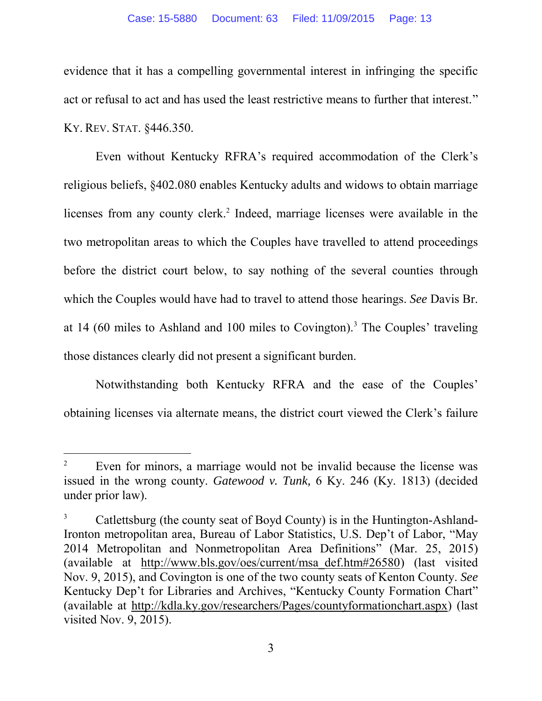evidence that it has a compelling governmental interest in infringing the specific act or refusal to act and has used the least restrictive means to further that interest." KY. REV. STAT. §446.350.

Even without Kentucky RFRA's required accommodation of the Clerk's religious beliefs, §402.080 enables Kentucky adults and widows to obtain marriage licenses from any county clerk.<sup>2</sup> Indeed, marriage licenses were available in the two metropolitan areas to which the Couples have travelled to attend proceedings before the district court below, to say nothing of the several counties through which the Couples would have had to travel to attend those hearings. *See* Davis Br. at 14 (60 miles to Ashland and 100 miles to Covington).<sup>3</sup> The Couples' traveling those distances clearly did not present a significant burden.

Notwithstanding both Kentucky RFRA and the ease of the Couples' obtaining licenses via alternate means, the district court viewed the Clerk's failure

l

<sup>2</sup> Even for minors, a marriage would not be invalid because the license was issued in the wrong county. *Gatewood v. Tunk,* 6 Ky. 246 (Ky. 1813) (decided under prior law).

<sup>3</sup> Catlettsburg (the county seat of Boyd County) is in the Huntington-Ashland-Ironton metropolitan area, Bureau of Labor Statistics, U.S. Dep't of Labor, "May 2014 Metropolitan and Nonmetropolitan Area Definitions" (Mar. 25, 2015) (available at http://www.bls.gov/oes/current/msa\_def.htm#26580) (last visited Nov. 9, 2015), and Covington is one of the two county seats of Kenton County. *See* Kentucky Dep't for Libraries and Archives, "Kentucky County Formation Chart" (available at http://kdla.ky.gov/researchers/Pages/countyformationchart.aspx) (last visited Nov. 9, 2015).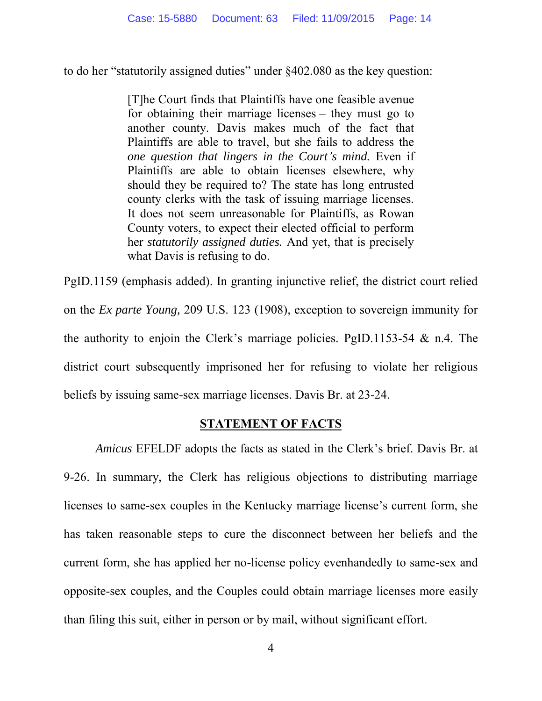to do her "statutorily assigned duties" under §402.080 as the key question:

[T]he Court finds that Plaintiffs have one feasible avenue for obtaining their marriage licenses – they must go to another county. Davis makes much of the fact that Plaintiffs are able to travel, but she fails to address the *one question that lingers in the Court's mind.* Even if Plaintiffs are able to obtain licenses elsewhere, why should they be required to? The state has long entrusted county clerks with the task of issuing marriage licenses. It does not seem unreasonable for Plaintiffs, as Rowan County voters, to expect their elected official to perform her *statutorily assigned duties.* And yet, that is precisely what Davis is refusing to do.

PgID.1159 (emphasis added). In granting injunctive relief, the district court relied on the *Ex parte Young,* 209 U.S. 123 (1908), exception to sovereign immunity for the authority to enjoin the Clerk's marriage policies. PgID.1153-54 & n.4. The district court subsequently imprisoned her for refusing to violate her religious beliefs by issuing same-sex marriage licenses. Davis Br. at 23-24.

### **STATEMENT OF FACTS**

*Amicus* EFELDF adopts the facts as stated in the Clerk's brief. Davis Br. at 9-26. In summary, the Clerk has religious objections to distributing marriage licenses to same-sex couples in the Kentucky marriage license's current form, she has taken reasonable steps to cure the disconnect between her beliefs and the current form, she has applied her no-license policy evenhandedly to same-sex and opposite-sex couples, and the Couples could obtain marriage licenses more easily than filing this suit, either in person or by mail, without significant effort.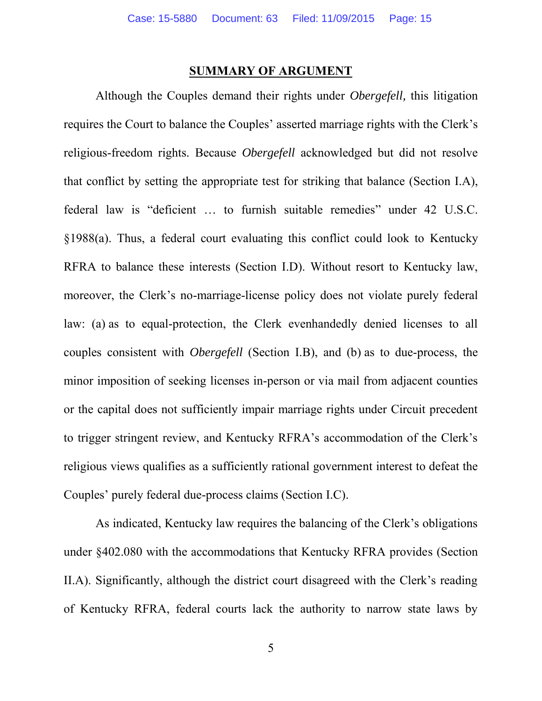#### **SUMMARY OF ARGUMENT**

Although the Couples demand their rights under *Obergefell,* this litigation requires the Court to balance the Couples' asserted marriage rights with the Clerk's religious-freedom rights. Because *Obergefell* acknowledged but did not resolve that conflict by setting the appropriate test for striking that balance (Section I.A), federal law is "deficient … to furnish suitable remedies" under 42 U.S.C. §1988(a). Thus, a federal court evaluating this conflict could look to Kentucky RFRA to balance these interests (Section I.D). Without resort to Kentucky law, moreover, the Clerk's no-marriage-license policy does not violate purely federal law: (a) as to equal-protection, the Clerk evenhandedly denied licenses to all couples consistent with *Obergefell* (Section I.B), and (b) as to due-process, the minor imposition of seeking licenses in-person or via mail from adjacent counties or the capital does not sufficiently impair marriage rights under Circuit precedent to trigger stringent review, and Kentucky RFRA's accommodation of the Clerk's religious views qualifies as a sufficiently rational government interest to defeat the Couples' purely federal due-process claims (Section I.C).

As indicated, Kentucky law requires the balancing of the Clerk's obligations under §402.080 with the accommodations that Kentucky RFRA provides (Section II.A). Significantly, although the district court disagreed with the Clerk's reading of Kentucky RFRA, federal courts lack the authority to narrow state laws by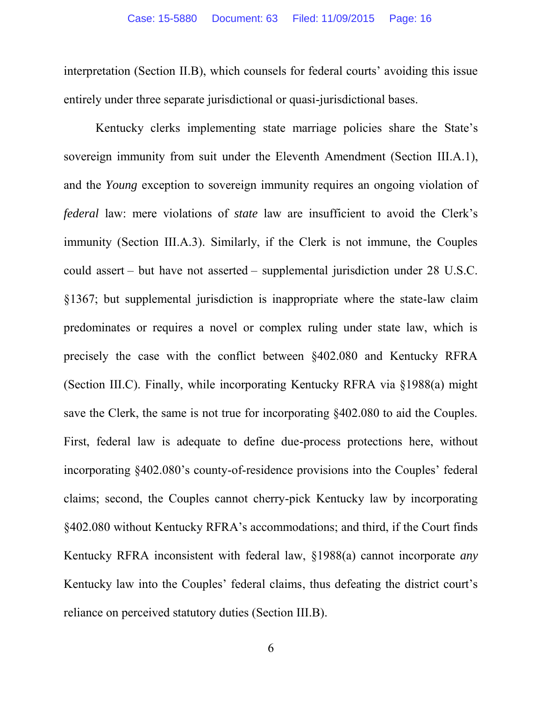interpretation (Section II.B), which counsels for federal courts' avoiding this issue entirely under three separate jurisdictional or quasi-jurisdictional bases.

Kentucky clerks implementing state marriage policies share the State's sovereign immunity from suit under the Eleventh Amendment (Section III.A.1), and the *Young* exception to sovereign immunity requires an ongoing violation of *federal* law: mere violations of *state* law are insufficient to avoid the Clerk's immunity (Section III.A.3). Similarly, if the Clerk is not immune, the Couples could assert – but have not asserted – supplemental jurisdiction under 28 U.S.C. §1367; but supplemental jurisdiction is inappropriate where the state-law claim predominates or requires a novel or complex ruling under state law, which is precisely the case with the conflict between §402.080 and Kentucky RFRA (Section III.C). Finally, while incorporating Kentucky RFRA via §1988(a) might save the Clerk, the same is not true for incorporating §402.080 to aid the Couples. First, federal law is adequate to define due-process protections here, without incorporating §402.080's county-of-residence provisions into the Couples' federal claims; second, the Couples cannot cherry-pick Kentucky law by incorporating §402.080 without Kentucky RFRA's accommodations; and third, if the Court finds Kentucky RFRA inconsistent with federal law, §1988(a) cannot incorporate *any* Kentucky law into the Couples' federal claims, thus defeating the district court's reliance on perceived statutory duties (Section III.B).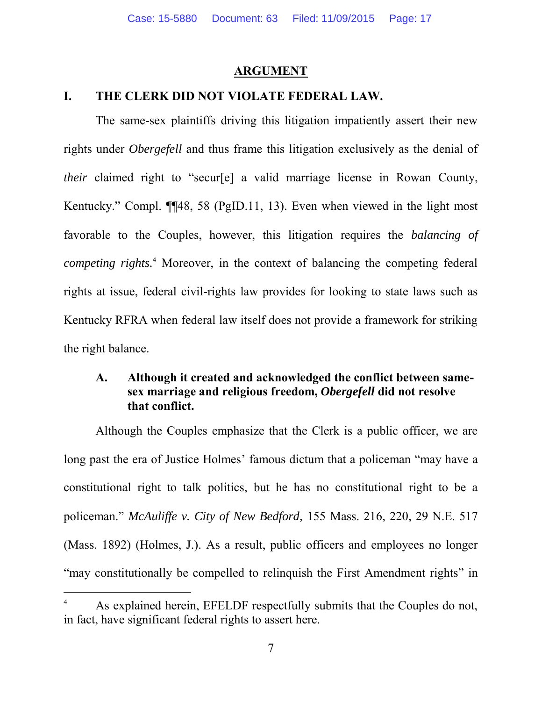#### **ARGUMENT**

### **I. THE CLERK DID NOT VIOLATE FEDERAL LAW.**

The same-sex plaintiffs driving this litigation impatiently assert their new rights under *Obergefell* and thus frame this litigation exclusively as the denial of *their* claimed right to "secur[e] a valid marriage license in Rowan County, Kentucky." Compl. ¶¶48, 58 (PgID.11, 13). Even when viewed in the light most favorable to the Couples, however, this litigation requires the *balancing of competing rights.*<sup>4</sup> Moreover, in the context of balancing the competing federal rights at issue, federal civil-rights law provides for looking to state laws such as Kentucky RFRA when federal law itself does not provide a framework for striking the right balance.

## **A. Although it created and acknowledged the conflict between samesex marriage and religious freedom,** *Obergefell* **did not resolve that conflict.**

Although the Couples emphasize that the Clerk is a public officer, we are long past the era of Justice Holmes' famous dictum that a policeman "may have a constitutional right to talk politics, but he has no constitutional right to be a policeman." *McAuliffe v. City of New Bedford,* 155 Mass. 216, 220, 29 N.E. 517 (Mass. 1892) (Holmes, J.). As a result, public officers and employees no longer "may constitutionally be compelled to relinquish the First Amendment rights" in

 $\overline{a}$ 

<sup>4</sup> As explained herein, EFELDF respectfully submits that the Couples do not, in fact, have significant federal rights to assert here.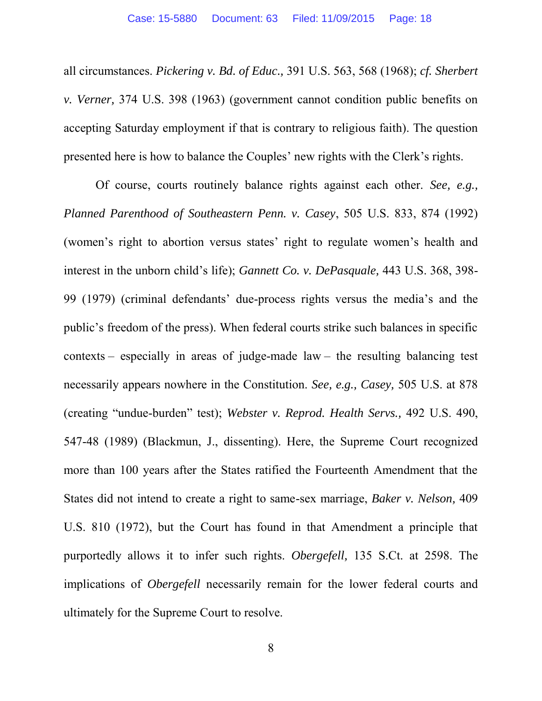all circumstances. *Pickering v. Bd. of Educ.,* 391 U.S. 563, 568 (1968); *cf. Sherbert v. Verner,* 374 U.S. 398 (1963) (government cannot condition public benefits on accepting Saturday employment if that is contrary to religious faith). The question presented here is how to balance the Couples' new rights with the Clerk's rights.

Of course, courts routinely balance rights against each other. *See, e.g., Planned Parenthood of Southeastern Penn. v. Casey*, 505 U.S. 833, 874 (1992) (women's right to abortion versus states' right to regulate women's health and interest in the unborn child's life); *Gannett Co. v. DePasquale,* 443 U.S. 368, 398- 99 (1979) (criminal defendants' due-process rights versus the media's and the public's freedom of the press). When federal courts strike such balances in specific contexts – especially in areas of judge-made law – the resulting balancing test necessarily appears nowhere in the Constitution. *See, e.g., Casey,* 505 U.S. at 878 (creating "undue-burden" test); *Webster v. Reprod. Health Servs.,* 492 U.S. 490, 547-48 (1989) (Blackmun, J., dissenting). Here, the Supreme Court recognized more than 100 years after the States ratified the Fourteenth Amendment that the States did not intend to create a right to same-sex marriage, *Baker v. Nelson,* 409 U.S. 810 (1972), but the Court has found in that Amendment a principle that purportedly allows it to infer such rights. *Obergefell,* 135 S.Ct. at 2598. The implications of *Obergefell* necessarily remain for the lower federal courts and ultimately for the Supreme Court to resolve.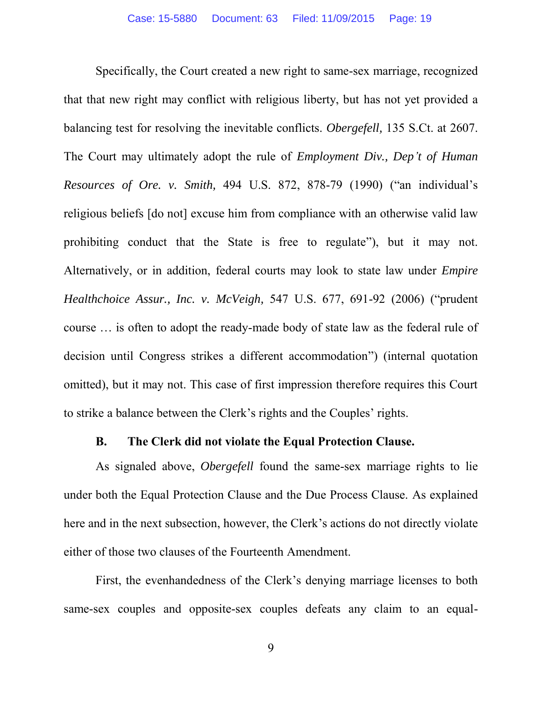Specifically, the Court created a new right to same-sex marriage, recognized that that new right may conflict with religious liberty, but has not yet provided a balancing test for resolving the inevitable conflicts. *Obergefell,* 135 S.Ct. at 2607. The Court may ultimately adopt the rule of *Employment Div., Dep't of Human Resources of Ore. v. Smith,* 494 U.S. 872, 878-79 (1990) ("an individual's religious beliefs [do not] excuse him from compliance with an otherwise valid law prohibiting conduct that the State is free to regulate"), but it may not. Alternatively, or in addition, federal courts may look to state law under *Empire Healthchoice Assur., Inc. v. McVeigh,* 547 U.S. 677, 691-92 (2006) ("prudent course … is often to adopt the ready-made body of state law as the federal rule of decision until Congress strikes a different accommodation") (internal quotation omitted), but it may not. This case of first impression therefore requires this Court to strike a balance between the Clerk's rights and the Couples' rights.

### **B. The Clerk did not violate the Equal Protection Clause.**

As signaled above, *Obergefell* found the same-sex marriage rights to lie under both the Equal Protection Clause and the Due Process Clause. As explained here and in the next subsection, however, the Clerk's actions do not directly violate either of those two clauses of the Fourteenth Amendment.

First, the evenhandedness of the Clerk's denying marriage licenses to both same-sex couples and opposite-sex couples defeats any claim to an equal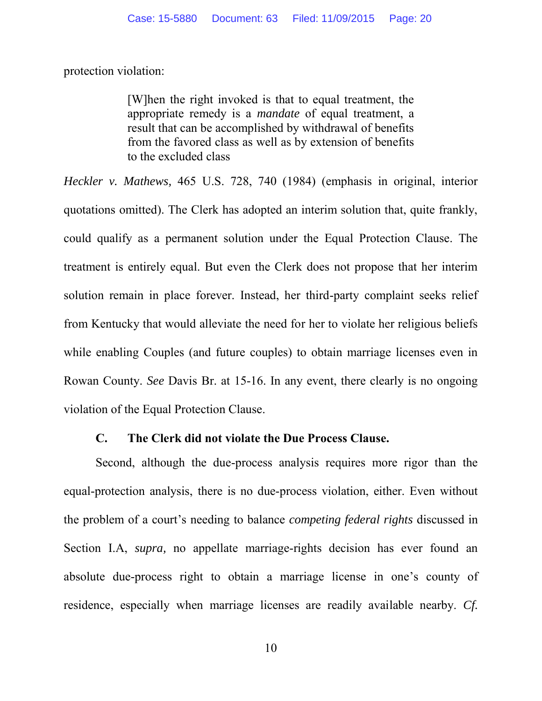protection violation:

[W]hen the right invoked is that to equal treatment, the appropriate remedy is a *mandate* of equal treatment, a result that can be accomplished by withdrawal of benefits from the favored class as well as by extension of benefits to the excluded class

*Heckler v. Mathews,* 465 U.S. 728, 740 (1984) (emphasis in original, interior quotations omitted). The Clerk has adopted an interim solution that, quite frankly, could qualify as a permanent solution under the Equal Protection Clause. The treatment is entirely equal. But even the Clerk does not propose that her interim solution remain in place forever. Instead, her third-party complaint seeks relief from Kentucky that would alleviate the need for her to violate her religious beliefs while enabling Couples (and future couples) to obtain marriage licenses even in Rowan County. *See* Davis Br. at 15-16. In any event, there clearly is no ongoing violation of the Equal Protection Clause.

### **C. The Clerk did not violate the Due Process Clause.**

Second, although the due-process analysis requires more rigor than the equal-protection analysis, there is no due-process violation, either. Even without the problem of a court's needing to balance *competing federal rights* discussed in Section I.A, *supra,* no appellate marriage-rights decision has ever found an absolute due-process right to obtain a marriage license in one's county of residence, especially when marriage licenses are readily available nearby. *Cf.*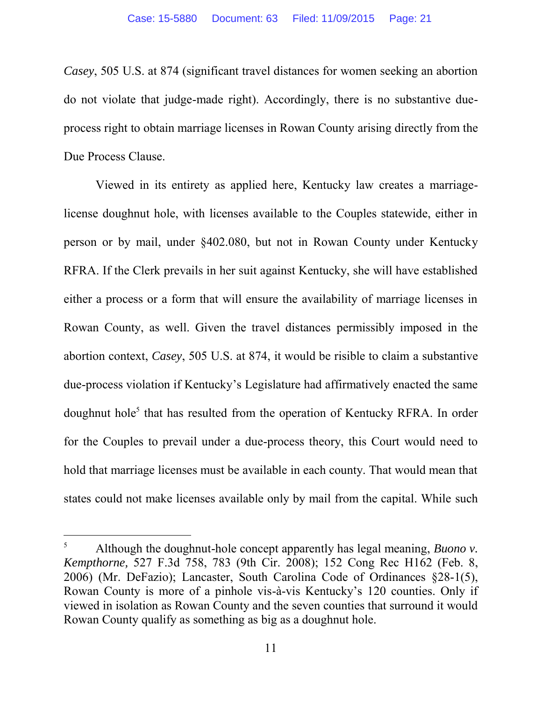*Casey*, 505 U.S. at 874 (significant travel distances for women seeking an abortion do not violate that judge-made right). Accordingly, there is no substantive dueprocess right to obtain marriage licenses in Rowan County arising directly from the Due Process Clause.

Viewed in its entirety as applied here, Kentucky law creates a marriagelicense doughnut hole, with licenses available to the Couples statewide, either in person or by mail, under §402.080, but not in Rowan County under Kentucky RFRA. If the Clerk prevails in her suit against Kentucky, she will have established either a process or a form that will ensure the availability of marriage licenses in Rowan County, as well. Given the travel distances permissibly imposed in the abortion context, *Casey*, 505 U.S. at 874, it would be risible to claim a substantive due-process violation if Kentucky's Legislature had affirmatively enacted the same doughnut hole<sup>5</sup> that has resulted from the operation of Kentucky RFRA. In order for the Couples to prevail under a due-process theory, this Court would need to hold that marriage licenses must be available in each county. That would mean that states could not make licenses available only by mail from the capital. While such

l

<sup>5</sup> Although the doughnut-hole concept apparently has legal meaning, *Buono v. Kempthorne,* 527 F.3d 758, 783 (9th Cir. 2008); 152 Cong Rec H162 (Feb. 8, 2006) (Mr. DeFazio); Lancaster, South Carolina Code of Ordinances §28-1(5), Rowan County is more of a pinhole vis-à-vis Kentucky's 120 counties. Only if viewed in isolation as Rowan County and the seven counties that surround it would Rowan County qualify as something as big as a doughnut hole.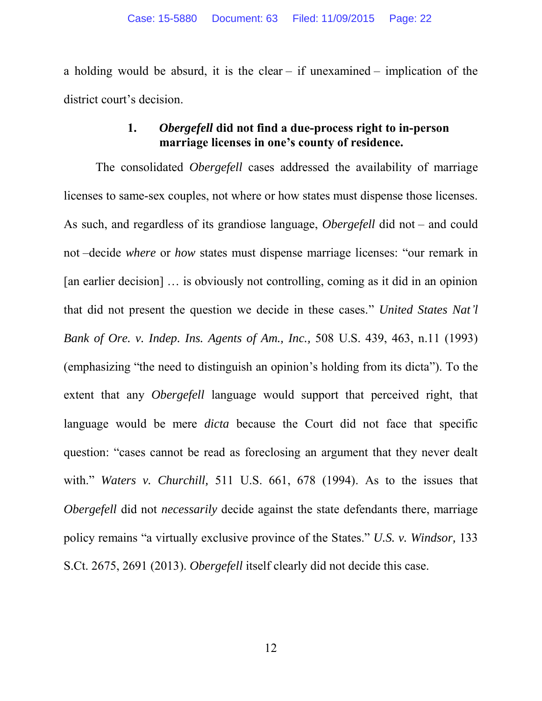a holding would be absurd, it is the clear – if unexamined – implication of the district court's decision.

## **1.** *Obergefell* **did not find a due-process right to in-person marriage licenses in one's county of residence.**

The consolidated *Obergefell* cases addressed the availability of marriage licenses to same-sex couples, not where or how states must dispense those licenses. As such, and regardless of its grandiose language, *Obergefell* did not – and could not –decide *where* or *how* states must dispense marriage licenses: "our remark in [an earlier decision] … is obviously not controlling, coming as it did in an opinion that did not present the question we decide in these cases." *United States Nat'l Bank of Ore. v. Indep. Ins. Agents of Am., Inc.,* 508 U.S. 439, 463, n.11 (1993) (emphasizing "the need to distinguish an opinion's holding from its dicta"). To the extent that any *Obergefell* language would support that perceived right, that language would be mere *dicta* because the Court did not face that specific question: "cases cannot be read as foreclosing an argument that they never dealt with." *Waters v. Churchill,* 511 U.S. 661, 678 (1994). As to the issues that *Obergefell* did not *necessarily* decide against the state defendants there, marriage policy remains "a virtually exclusive province of the States." *U.S. v. Windsor,* 133 S.Ct. 2675, 2691 (2013). *Obergefell* itself clearly did not decide this case.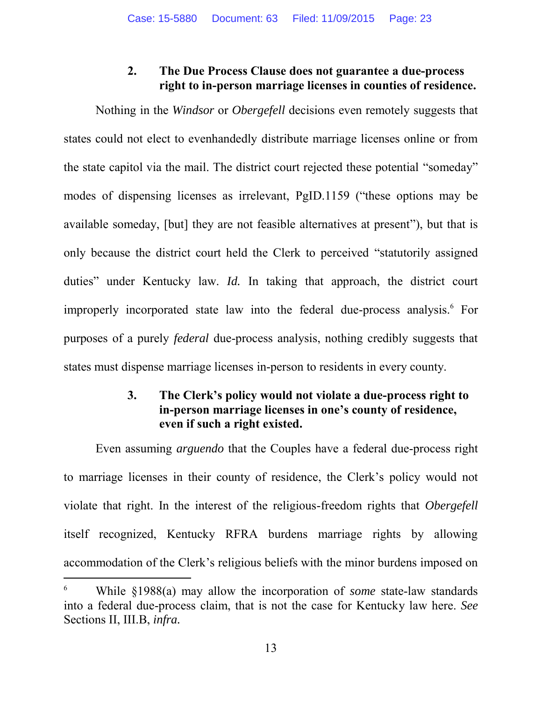## **2. The Due Process Clause does not guarantee a due-process right to in-person marriage licenses in counties of residence.**

Nothing in the *Windsor* or *Obergefell* decisions even remotely suggests that states could not elect to evenhandedly distribute marriage licenses online or from the state capitol via the mail. The district court rejected these potential "someday" modes of dispensing licenses as irrelevant, PgID.1159 ("these options may be available someday, [but] they are not feasible alternatives at present"), but that is only because the district court held the Clerk to perceived "statutorily assigned duties" under Kentucky law. *Id.* In taking that approach, the district court improperly incorporated state law into the federal due-process analysis.<sup>6</sup> For purposes of a purely *federal* due-process analysis, nothing credibly suggests that states must dispense marriage licenses in-person to residents in every county.

## **3. The Clerk's policy would not violate a due-process right to in-person marriage licenses in one's county of residence, even if such a right existed.**

Even assuming *arguendo* that the Couples have a federal due-process right to marriage licenses in their county of residence, the Clerk's policy would not violate that right. In the interest of the religious-freedom rights that *Obergefell* itself recognized, Kentucky RFRA burdens marriage rights by allowing accommodation of the Clerk's religious beliefs with the minor burdens imposed on

 $\overline{a}$ 

<sup>6</sup> While §1988(a) may allow the incorporation of *some* state-law standards into a federal due-process claim, that is not the case for Kentucky law here. *See* Sections II, III.B, *infra.*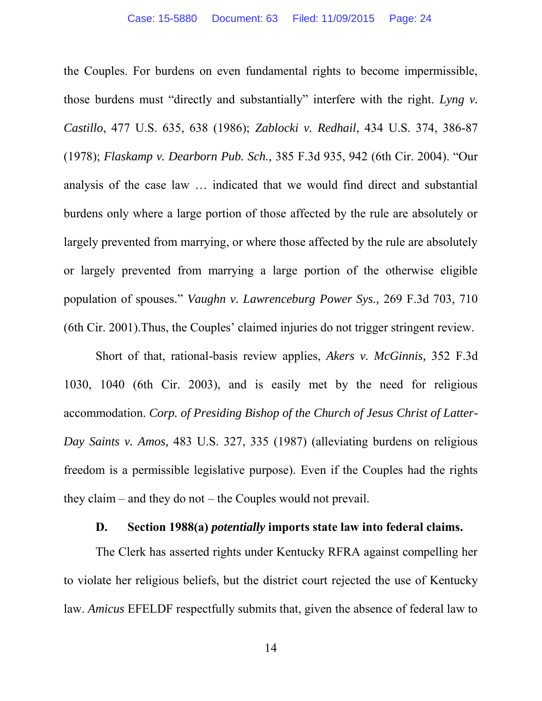the Couples. For burdens on even fundamental rights to become impermissible, those burdens must "directly and substantially" interfere with the right. *Lyng v. Castillo*, 477 U.S. 635, 638 (1986); *Zablocki v. Redhail*, 434 U.S. 374, 386-87 (1978); *Flaskamp v. Dearborn Pub. Sch.,* 385 F.3d 935, 942 (6th Cir. 2004). "Our analysis of the case law … indicated that we would find direct and substantial burdens only where a large portion of those affected by the rule are absolutely or largely prevented from marrying, or where those affected by the rule are absolutely or largely prevented from marrying a large portion of the otherwise eligible population of spouses." *Vaughn v. Lawrenceburg Power Sys.,* 269 F.3d 703, 710 (6th Cir. 2001).Thus, the Couples' claimed injuries do not trigger stringent review.

Short of that, rational-basis review applies, *Akers v. McGinnis,* 352 F.3d 1030, 1040 (6th Cir. 2003), and is easily met by the need for religious accommodation. *Corp. of Presiding Bishop of the Church of Jesus Christ of Latter-Day Saints v. Amos,* 483 U.S. 327, 335 (1987) (alleviating burdens on religious freedom is a permissible legislative purpose). Even if the Couples had the rights they claim – and they do not – the Couples would not prevail.

#### **D. Section 1988(a)** *potentially* **imports state law into federal claims.**

The Clerk has asserted rights under Kentucky RFRA against compelling her to violate her religious beliefs, but the district court rejected the use of Kentucky law. *Amicus* EFELDF respectfully submits that, given the absence of federal law to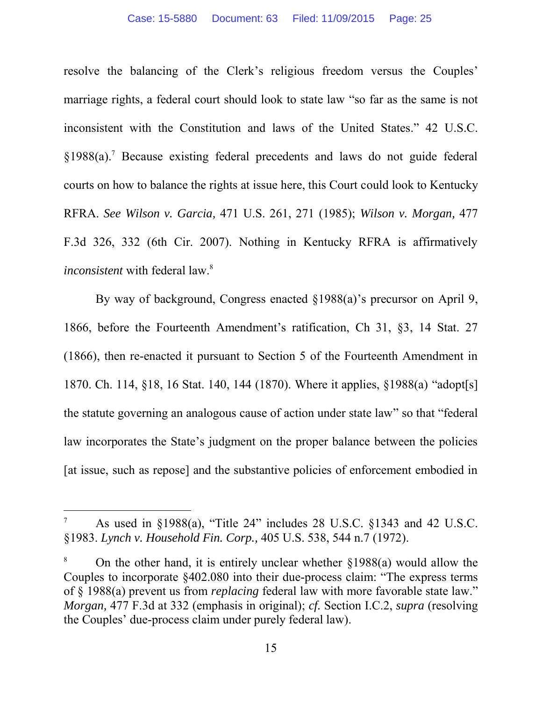resolve the balancing of the Clerk's religious freedom versus the Couples' marriage rights, a federal court should look to state law "so far as the same is not inconsistent with the Constitution and laws of the United States." 42 U.S.C. §1988(a).<sup>7</sup> Because existing federal precedents and laws do not guide federal courts on how to balance the rights at issue here, this Court could look to Kentucky RFRA. *See Wilson v. Garcia,* 471 U.S. 261, 271 (1985); *Wilson v. Morgan,* 477 F.3d 326, 332 (6th Cir. 2007). Nothing in Kentucky RFRA is affirmatively *inconsistent* with federal law.<sup>8</sup>

By way of background, Congress enacted §1988(a)'s precursor on April 9, 1866, before the Fourteenth Amendment's ratification, Ch 31, §3, 14 Stat. 27 (1866), then re-enacted it pursuant to Section 5 of the Fourteenth Amendment in 1870. Ch. 114, §18, 16 Stat. 140, 144 (1870). Where it applies, §1988(a) "adopt[s] the statute governing an analogous cause of action under state law" so that "federal law incorporates the State's judgment on the proper balance between the policies [at issue, such as repose] and the substantive policies of enforcement embodied in

l

<sup>7</sup> As used in §1988(a), "Title 24" includes 28 U.S.C. §1343 and 42 U.S.C. §1983. *Lynch v. Household Fin. Corp.,* 405 U.S. 538, 544 n.7 (1972).

<sup>8</sup> On the other hand, it is entirely unclear whether §1988(a) would allow the Couples to incorporate §402.080 into their due-process claim: "The express terms of § 1988(a) prevent us from *replacing* federal law with more favorable state law." *Morgan,* 477 F.3d at 332 (emphasis in original); *cf.* Section I.C.2, *supra* (resolving the Couples' due-process claim under purely federal law).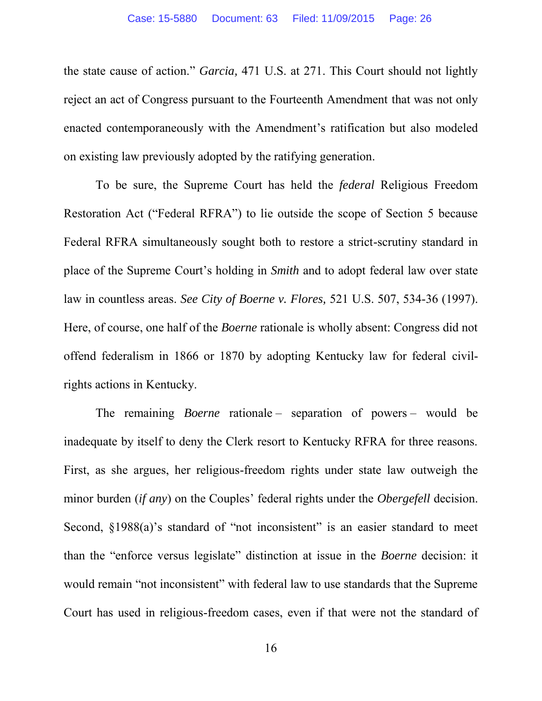the state cause of action." *Garcia,* 471 U.S. at 271. This Court should not lightly reject an act of Congress pursuant to the Fourteenth Amendment that was not only enacted contemporaneously with the Amendment's ratification but also modeled on existing law previously adopted by the ratifying generation.

To be sure, the Supreme Court has held the *federal* Religious Freedom Restoration Act ("Federal RFRA") to lie outside the scope of Section 5 because Federal RFRA simultaneously sought both to restore a strict-scrutiny standard in place of the Supreme Court's holding in *Smith* and to adopt federal law over state law in countless areas. *See City of Boerne v. Flores,* 521 U.S. 507, 534-36 (1997). Here, of course, one half of the *Boerne* rationale is wholly absent: Congress did not offend federalism in 1866 or 1870 by adopting Kentucky law for federal civilrights actions in Kentucky.

The remaining *Boerne* rationale – separation of powers – would be inadequate by itself to deny the Clerk resort to Kentucky RFRA for three reasons. First, as she argues, her religious-freedom rights under state law outweigh the minor burden (*if any*) on the Couples' federal rights under the *Obergefell* decision. Second, §1988(a)'s standard of "not inconsistent" is an easier standard to meet than the "enforce versus legislate" distinction at issue in the *Boerne* decision: it would remain "not inconsistent" with federal law to use standards that the Supreme Court has used in religious-freedom cases, even if that were not the standard of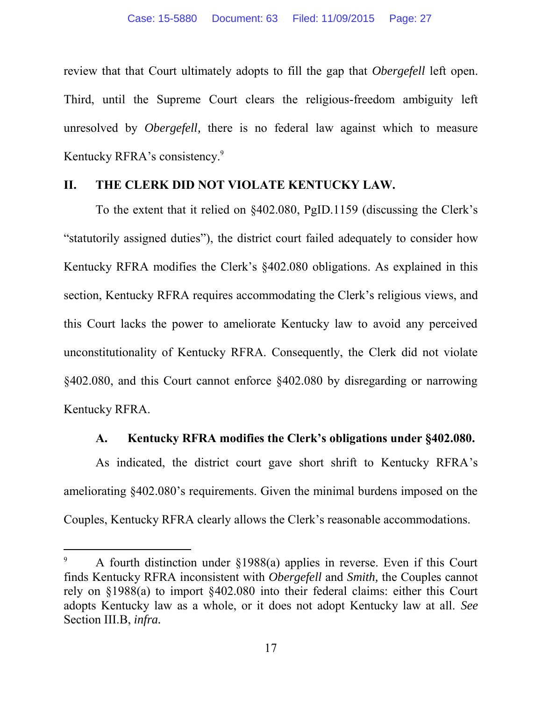review that that Court ultimately adopts to fill the gap that *Obergefell* left open. Third, until the Supreme Court clears the religious-freedom ambiguity left unresolved by *Obergefell,* there is no federal law against which to measure Kentucky RFRA's consistency.<sup>9</sup>

#### **II. THE CLERK DID NOT VIOLATE KENTUCKY LAW.**

To the extent that it relied on §402.080, PgID.1159 (discussing the Clerk's "statutorily assigned duties"), the district court failed adequately to consider how Kentucky RFRA modifies the Clerk's §402.080 obligations. As explained in this section, Kentucky RFRA requires accommodating the Clerk's religious views, and this Court lacks the power to ameliorate Kentucky law to avoid any perceived unconstitutionality of Kentucky RFRA. Consequently, the Clerk did not violate §402.080, and this Court cannot enforce §402.080 by disregarding or narrowing Kentucky RFRA.

### **A. Kentucky RFRA modifies the Clerk's obligations under §402.080.**

As indicated, the district court gave short shrift to Kentucky RFRA's ameliorating §402.080's requirements. Given the minimal burdens imposed on the Couples, Kentucky RFRA clearly allows the Clerk's reasonable accommodations.

 $\overline{a}$ 

<sup>9</sup> A fourth distinction under §1988(a) applies in reverse. Even if this Court finds Kentucky RFRA inconsistent with *Obergefell* and *Smith,* the Couples cannot rely on §1988(a) to import §402.080 into their federal claims: either this Court adopts Kentucky law as a whole, or it does not adopt Kentucky law at all. *See* Section III.B, *infra.*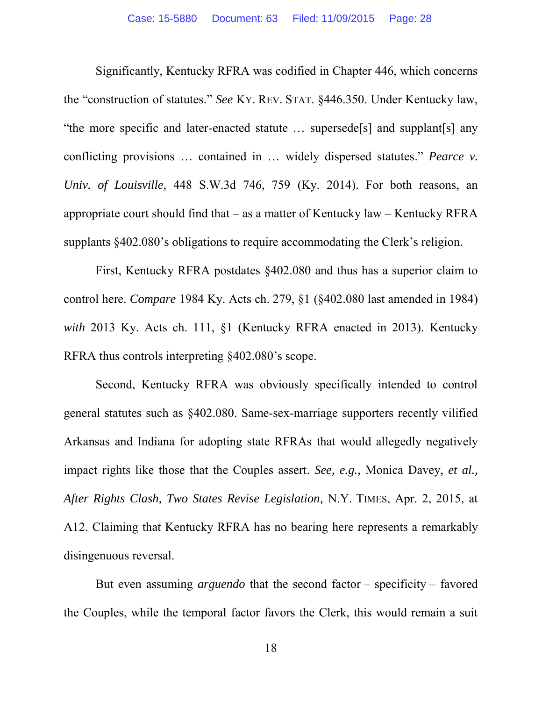Significantly, Kentucky RFRA was codified in Chapter 446, which concerns the "construction of statutes." *See* KY. REV. STAT. §446.350. Under Kentucky law, "the more specific and later-enacted statute … supersede[s] and supplant[s] any conflicting provisions … contained in … widely dispersed statutes." *Pearce v. Univ. of Louisville,* 448 S.W.3d 746, 759 (Ky. 2014). For both reasons, an appropriate court should find that – as a matter of Kentucky law – Kentucky RFRA supplants §402.080's obligations to require accommodating the Clerk's religion.

First, Kentucky RFRA postdates §402.080 and thus has a superior claim to control here. *Compare* 1984 Ky. Acts ch. 279, §1 (§402.080 last amended in 1984) *with* 2013 Ky. Acts ch. 111, §1 (Kentucky RFRA enacted in 2013). Kentucky RFRA thus controls interpreting §402.080's scope.

Second, Kentucky RFRA was obviously specifically intended to control general statutes such as §402.080. Same-sex-marriage supporters recently vilified Arkansas and Indiana for adopting state RFRAs that would allegedly negatively impact rights like those that the Couples assert. *See, e.g.,* Monica Davey, *et al., After Rights Clash, Two States Revise Legislation,* N.Y. TIMES, Apr. 2, 2015, at A12. Claiming that Kentucky RFRA has no bearing here represents a remarkably disingenuous reversal.

But even assuming *arguendo* that the second factor – specificity – favored the Couples, while the temporal factor favors the Clerk, this would remain a suit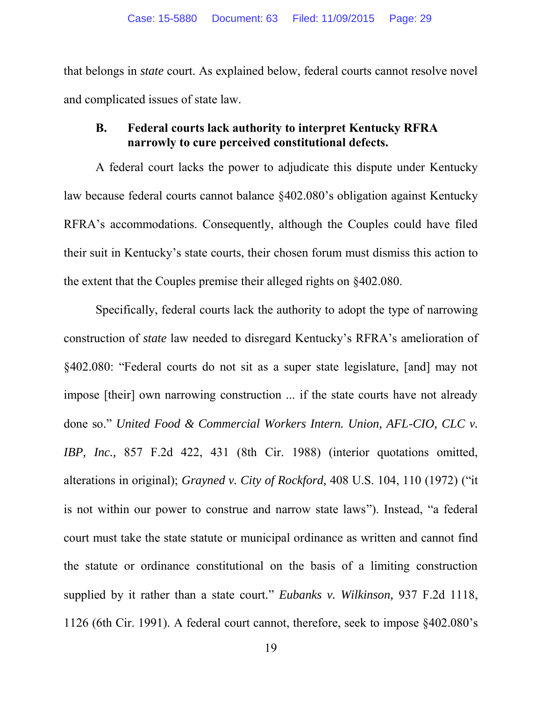that belongs in *state* court. As explained below, federal courts cannot resolve novel and complicated issues of state law.

## **B. Federal courts lack authority to interpret Kentucky RFRA narrowly to cure perceived constitutional defects.**

A federal court lacks the power to adjudicate this dispute under Kentucky law because federal courts cannot balance §402.080's obligation against Kentucky RFRA's accommodations. Consequently, although the Couples could have filed their suit in Kentucky's state courts, their chosen forum must dismiss this action to the extent that the Couples premise their alleged rights on §402.080.

Specifically, federal courts lack the authority to adopt the type of narrowing construction of *state* law needed to disregard Kentucky's RFRA's amelioration of §402.080: "Federal courts do not sit as a super state legislature, [and] may not impose [their] own narrowing construction ... if the state courts have not already done so." *United Food & Commercial Workers Intern. Union, AFL-CIO, CLC v. IBP, Inc.,* 857 F.2d 422, 431 (8th Cir. 1988) (interior quotations omitted, alterations in original); *Grayned v. City of Rockford,* 408 U.S. 104, 110 (1972) ("it is not within our power to construe and narrow state laws"). Instead, "a federal court must take the state statute or municipal ordinance as written and cannot find the statute or ordinance constitutional on the basis of a limiting construction supplied by it rather than a state court." *Eubanks v. Wilkinson,* 937 F.2d 1118, 1126 (6th Cir. 1991). A federal court cannot, therefore, seek to impose §402.080's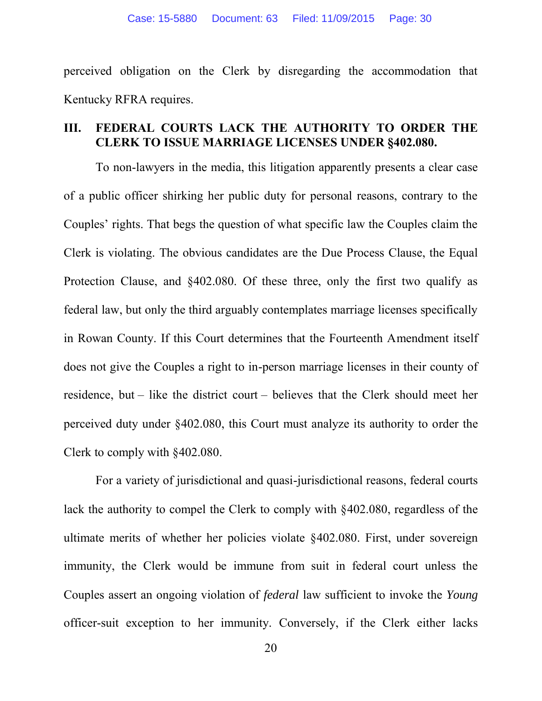perceived obligation on the Clerk by disregarding the accommodation that Kentucky RFRA requires.

## **III. FEDERAL COURTS LACK THE AUTHORITY TO ORDER THE CLERK TO ISSUE MARRIAGE LICENSES UNDER §402.080.**

To non-lawyers in the media, this litigation apparently presents a clear case of a public officer shirking her public duty for personal reasons, contrary to the Couples' rights. That begs the question of what specific law the Couples claim the Clerk is violating. The obvious candidates are the Due Process Clause, the Equal Protection Clause, and §402.080. Of these three, only the first two qualify as federal law, but only the third arguably contemplates marriage licenses specifically in Rowan County. If this Court determines that the Fourteenth Amendment itself does not give the Couples a right to in-person marriage licenses in their county of residence, but – like the district court – believes that the Clerk should meet her perceived duty under §402.080, this Court must analyze its authority to order the Clerk to comply with §402.080.

For a variety of jurisdictional and quasi-jurisdictional reasons, federal courts lack the authority to compel the Clerk to comply with §402.080, regardless of the ultimate merits of whether her policies violate §402.080. First, under sovereign immunity, the Clerk would be immune from suit in federal court unless the Couples assert an ongoing violation of *federal* law sufficient to invoke the *Young* officer-suit exception to her immunity. Conversely, if the Clerk either lacks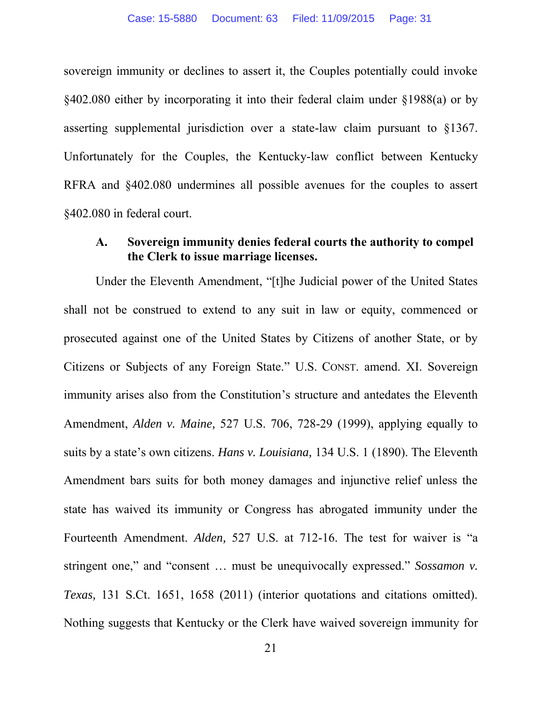sovereign immunity or declines to assert it, the Couples potentially could invoke §402.080 either by incorporating it into their federal claim under §1988(a) or by asserting supplemental jurisdiction over a state-law claim pursuant to §1367. Unfortunately for the Couples, the Kentucky-law conflict between Kentucky RFRA and §402.080 undermines all possible avenues for the couples to assert §402.080 in federal court.

## **A. Sovereign immunity denies federal courts the authority to compel the Clerk to issue marriage licenses.**

Under the Eleventh Amendment, "[t]he Judicial power of the United States shall not be construed to extend to any suit in law or equity, commenced or prosecuted against one of the United States by Citizens of another State, or by Citizens or Subjects of any Foreign State." U.S. CONST. amend. XI. Sovereign immunity arises also from the Constitution's structure and antedates the Eleventh Amendment, *Alden v. Maine,* 527 U.S. 706, 728-29 (1999), applying equally to suits by a state's own citizens. *Hans v. Louisiana,* 134 U.S. 1 (1890). The Eleventh Amendment bars suits for both money damages and injunctive relief unless the state has waived its immunity or Congress has abrogated immunity under the Fourteenth Amendment. *Alden,* 527 U.S. at 712-16. The test for waiver is "a stringent one," and "consent … must be unequivocally expressed." *Sossamon v. Texas,* 131 S.Ct. 1651, 1658 (2011) (interior quotations and citations omitted). Nothing suggests that Kentucky or the Clerk have waived sovereign immunity for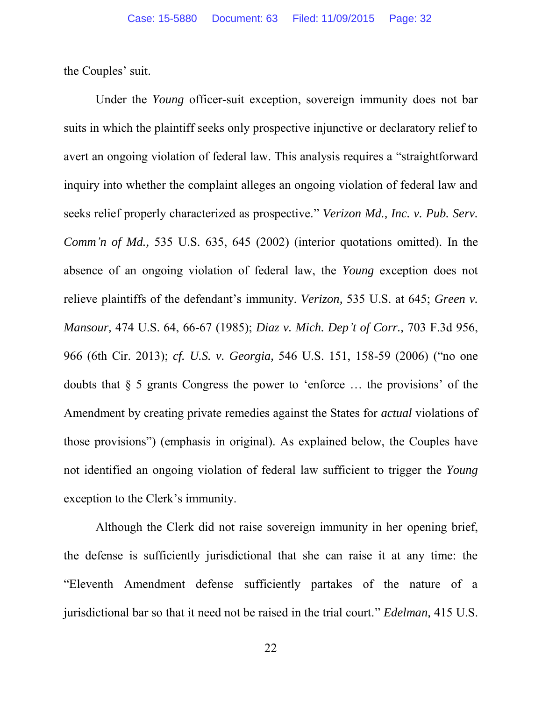the Couples' suit.

Under the *Young* officer-suit exception, sovereign immunity does not bar suits in which the plaintiff seeks only prospective injunctive or declaratory relief to avert an ongoing violation of federal law. This analysis requires a "straightforward inquiry into whether the complaint alleges an ongoing violation of federal law and seeks relief properly characterized as prospective." *Verizon Md., Inc. v. Pub. Serv. Comm'n of Md.,* 535 U.S. 635, 645 (2002) (interior quotations omitted). In the absence of an ongoing violation of federal law, the *Young* exception does not relieve plaintiffs of the defendant's immunity. *Verizon,* 535 U.S. at 645; *Green v. Mansour,* 474 U.S. 64, 66-67 (1985); *Diaz v. Mich. Dep't of Corr.,* 703 F.3d 956, 966 (6th Cir. 2013); *cf. U.S. v. Georgia,* 546 U.S. 151, 158-59 (2006) ("no one doubts that § 5 grants Congress the power to 'enforce … the provisions' of the Amendment by creating private remedies against the States for *actual* violations of those provisions") (emphasis in original). As explained below, the Couples have not identified an ongoing violation of federal law sufficient to trigger the *Young* exception to the Clerk's immunity.

Although the Clerk did not raise sovereign immunity in her opening brief, the defense is sufficiently jurisdictional that she can raise it at any time: the "Eleventh Amendment defense sufficiently partakes of the nature of a jurisdictional bar so that it need not be raised in the trial court." *Edelman,* 415 U.S.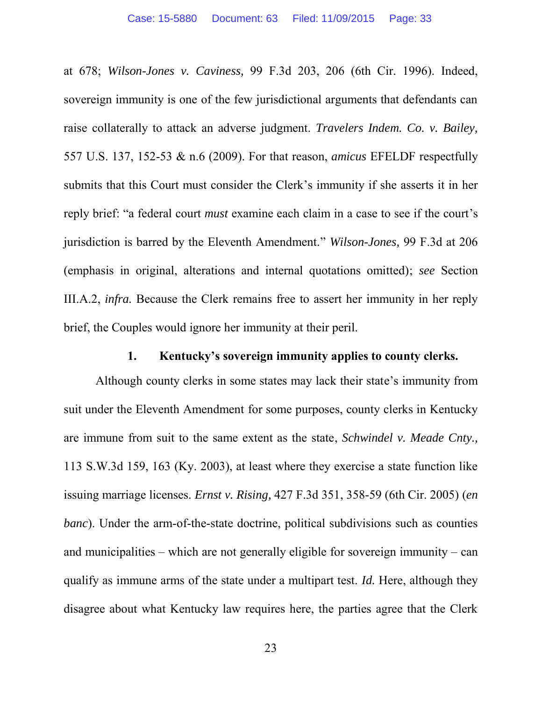at 678; *Wilson-Jones v. Caviness,* 99 F.3d 203, 206 (6th Cir. 1996). Indeed, sovereign immunity is one of the few jurisdictional arguments that defendants can raise collaterally to attack an adverse judgment. *Travelers Indem. Co. v. Bailey,* 557 U.S. 137, 152-53 & n.6 (2009). For that reason, *amicus* EFELDF respectfully submits that this Court must consider the Clerk's immunity if she asserts it in her reply brief: "a federal court *must* examine each claim in a case to see if the court's jurisdiction is barred by the Eleventh Amendment." *Wilson-Jones,* 99 F.3d at 206 (emphasis in original, alterations and internal quotations omitted); *see* Section III.A.2, *infra.* Because the Clerk remains free to assert her immunity in her reply brief, the Couples would ignore her immunity at their peril.

#### **1. Kentucky's sovereign immunity applies to county clerks.**

Although county clerks in some states may lack their state's immunity from suit under the Eleventh Amendment for some purposes, county clerks in Kentucky are immune from suit to the same extent as the state, *Schwindel v. Meade Cnty.,* 113 S.W.3d 159, 163 (Ky. 2003), at least where they exercise a state function like issuing marriage licenses. *Ernst v. Rising,* 427 F.3d 351, 358-59 (6th Cir. 2005) (*en banc*). Under the arm-of-the-state doctrine, political subdivisions such as counties and municipalities – which are not generally eligible for sovereign immunity – can qualify as immune arms of the state under a multipart test. *Id.* Here, although they disagree about what Kentucky law requires here, the parties agree that the Clerk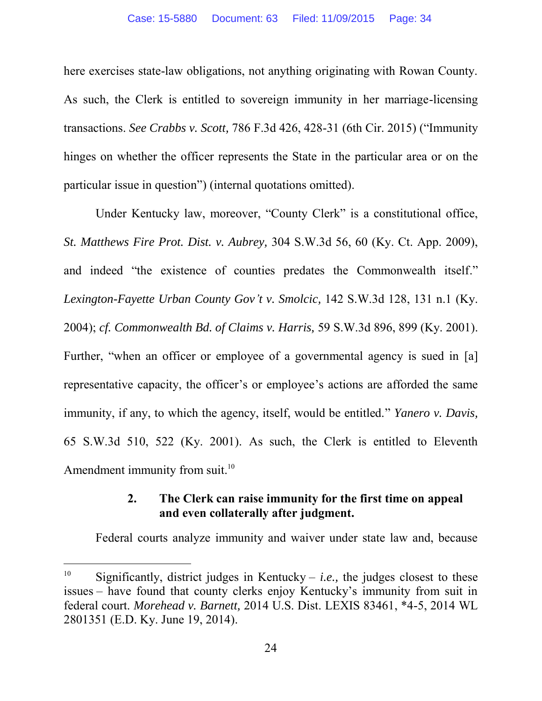here exercises state-law obligations, not anything originating with Rowan County. As such, the Clerk is entitled to sovereign immunity in her marriage-licensing transactions. *See Crabbs v. Scott,* 786 F.3d 426, 428-31 (6th Cir. 2015) ("Immunity hinges on whether the officer represents the State in the particular area or on the particular issue in question") (internal quotations omitted).

Under Kentucky law, moreover, "County Clerk" is a constitutional office, *St. Matthews Fire Prot. Dist. v. Aubrey,* 304 S.W.3d 56, 60 (Ky. Ct. App. 2009), and indeed "the existence of counties predates the Commonwealth itself." *Lexington-Fayette Urban County Gov't v. Smolcic,* 142 S.W.3d 128, 131 n.1 (Ky. 2004); *cf. Commonwealth Bd. of Claims v. Harris,* 59 S.W.3d 896, 899 (Ky. 2001). Further, "when an officer or employee of a governmental agency is sued in [a] representative capacity, the officer's or employee's actions are afforded the same immunity, if any, to which the agency, itself, would be entitled." *Yanero v. Davis,* 65 S.W.3d 510, 522 (Ky. 2001). As such, the Clerk is entitled to Eleventh Amendment immunity from suit.<sup>10</sup>

## **2. The Clerk can raise immunity for the first time on appeal and even collaterally after judgment.**

Federal courts analyze immunity and waiver under state law and, because

 $\overline{a}$ 

<sup>&</sup>lt;sup>10</sup> Significantly, district judges in Kentucky – *i.e.*, the judges closest to these issues – have found that county clerks enjoy Kentucky's immunity from suit in federal court. *Morehead v. Barnett,* 2014 U.S. Dist. LEXIS 83461, \*4-5, 2014 WL 2801351 (E.D. Ky. June 19, 2014).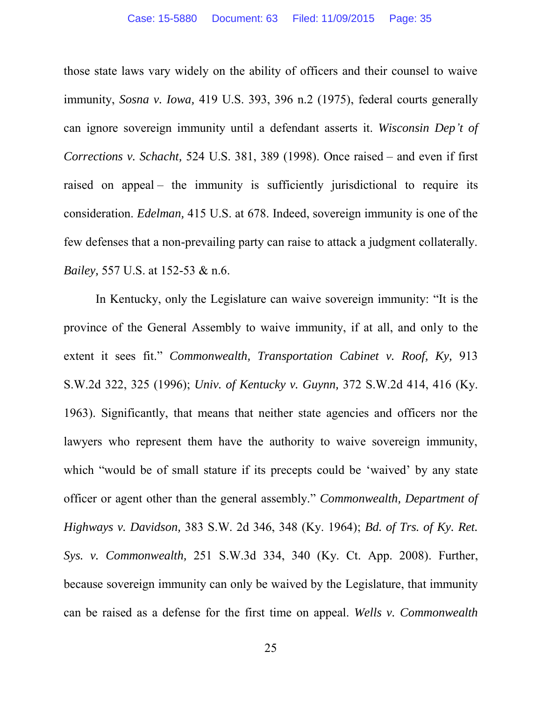those state laws vary widely on the ability of officers and their counsel to waive immunity, *Sosna v. Iowa,* 419 U.S. 393, 396 n.2 (1975), federal courts generally can ignore sovereign immunity until a defendant asserts it. *Wisconsin Dep't of Corrections v. Schacht,* 524 U.S. 381, 389 (1998). Once raised – and even if first raised on appeal – the immunity is sufficiently jurisdictional to require its consideration. *Edelman,* 415 U.S. at 678. Indeed, sovereign immunity is one of the few defenses that a non-prevailing party can raise to attack a judgment collaterally. *Bailey,* 557 U.S. at 152-53 & n.6.

In Kentucky, only the Legislature can waive sovereign immunity: "It is the province of the General Assembly to waive immunity, if at all, and only to the extent it sees fit." *Commonwealth, Transportation Cabinet v. Roof, Ky,* 913 S.W.2d 322, 325 (1996); *Univ. of Kentucky v. Guynn,* 372 S.W.2d 414, 416 (Ky. 1963). Significantly, that means that neither state agencies and officers nor the lawyers who represent them have the authority to waive sovereign immunity, which "would be of small stature if its precepts could be 'waived' by any state officer or agent other than the general assembly." *Commonwealth, Department of Highways v. Davidson,* 383 S.W. 2d 346, 348 (Ky. 1964); *Bd. of Trs. of Ky. Ret. Sys. v. Commonwealth,* 251 S.W.3d 334, 340 (Ky. Ct. App. 2008). Further, because sovereign immunity can only be waived by the Legislature, that immunity can be raised as a defense for the first time on appeal. *Wells v. Commonwealth*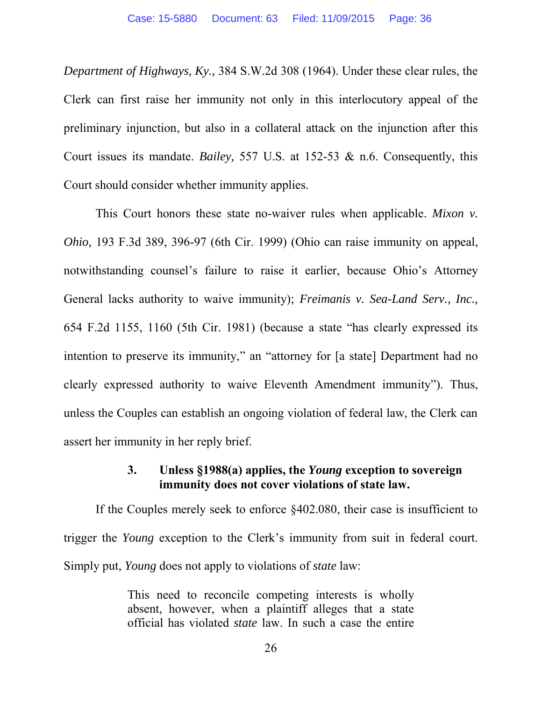*Department of Highways, Ky.,* 384 S.W.2d 308 (1964). Under these clear rules, the Clerk can first raise her immunity not only in this interlocutory appeal of the preliminary injunction, but also in a collateral attack on the injunction after this Court issues its mandate. *Bailey,* 557 U.S. at 152-53 & n.6. Consequently, this Court should consider whether immunity applies.

This Court honors these state no-waiver rules when applicable. *Mixon v. Ohio,* 193 F.3d 389, 396-97 (6th Cir. 1999) (Ohio can raise immunity on appeal, notwithstanding counsel's failure to raise it earlier, because Ohio's Attorney General lacks authority to waive immunity); *Freimanis v. Sea-Land Serv., Inc.,* 654 F.2d 1155, 1160 (5th Cir. 1981) (because a state "has clearly expressed its intention to preserve its immunity," an "attorney for [a state] Department had no clearly expressed authority to waive Eleventh Amendment immunity"). Thus, unless the Couples can establish an ongoing violation of federal law, the Clerk can assert her immunity in her reply brief.

### **3. Unless §1988(a) applies, the** *Young* **exception to sovereign immunity does not cover violations of state law.**

If the Couples merely seek to enforce §402.080, their case is insufficient to trigger the *Young* exception to the Clerk's immunity from suit in federal court. Simply put, *Young* does not apply to violations of *state* law:

> This need to reconcile competing interests is wholly absent, however, when a plaintiff alleges that a state official has violated *state* law. In such a case the entire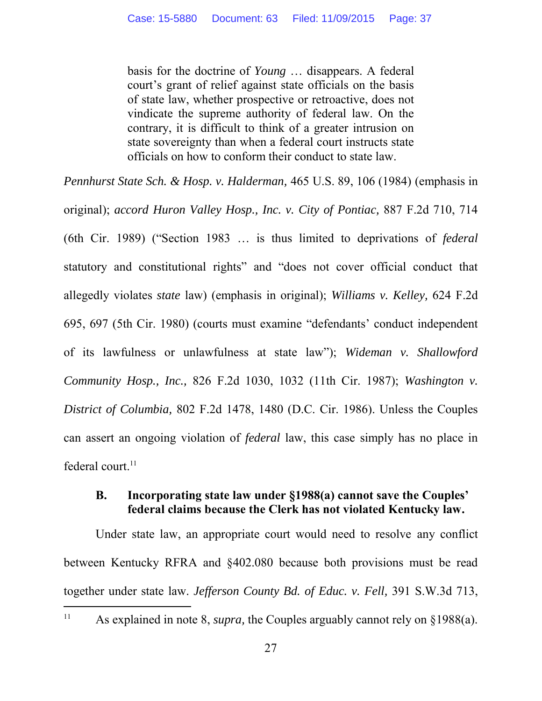basis for the doctrine of *Young* … disappears. A federal court's grant of relief against state officials on the basis of state law, whether prospective or retroactive, does not vindicate the supreme authority of federal law. On the contrary, it is difficult to think of a greater intrusion on state sovereignty than when a federal court instructs state officials on how to conform their conduct to state law.

*Pennhurst State Sch. & Hosp. v. Halderman,* 465 U.S. 89, 106 (1984) (emphasis in original); *accord Huron Valley Hosp., Inc. v. City of Pontiac,* 887 F.2d 710, 714 (6th Cir. 1989) ("Section 1983 … is thus limited to deprivations of *federal* statutory and constitutional rights" and "does not cover official conduct that allegedly violates *state* law) (emphasis in original); *Williams v. Kelley,* 624 F.2d 695, 697 (5th Cir. 1980) (courts must examine "defendants' conduct independent of its lawfulness or unlawfulness at state law"); *Wideman v. Shallowford Community Hosp., Inc.,* 826 F.2d 1030, 1032 (11th Cir. 1987); *Washington v. District of Columbia,* 802 F.2d 1478, 1480 (D.C. Cir. 1986). Unless the Couples can assert an ongoing violation of *federal* law, this case simply has no place in federal court. $<sup>11</sup>$ </sup>

## **B. Incorporating state law under §1988(a) cannot save the Couples' federal claims because the Clerk has not violated Kentucky law.**

Under state law, an appropriate court would need to resolve any conflict between Kentucky RFRA and §402.080 because both provisions must be read together under state law. *Jefferson County Bd. of Educ. v. Fell,* 391 S.W.3d 713,

 $\overline{a}$ 

<sup>&</sup>lt;sup>11</sup> As explained in note 8, *supra*, the Couples arguably cannot rely on §1988(a).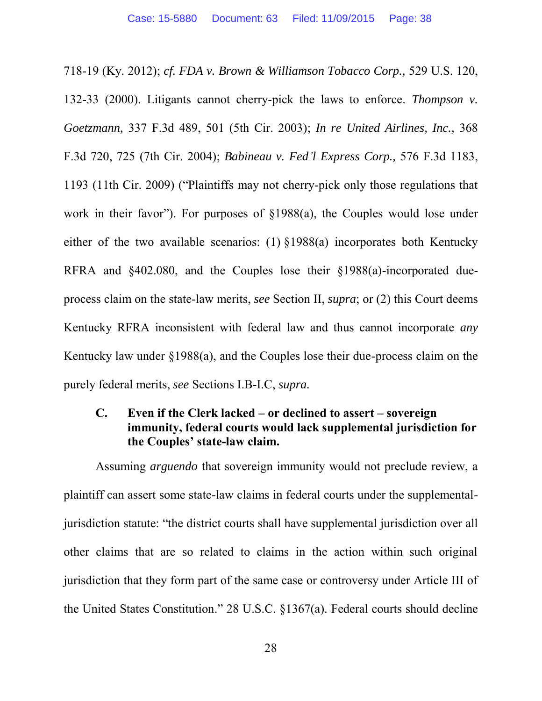718-19 (Ky. 2012); *cf. FDA v. Brown & Williamson Tobacco Corp.,* 529 U.S. 120, 132-33 (2000). Litigants cannot cherry-pick the laws to enforce. *Thompson v. Goetzmann,* 337 F.3d 489, 501 (5th Cir. 2003); *In re United Airlines, Inc.,* 368 F.3d 720, 725 (7th Cir. 2004); *Babineau v. Fed'l Express Corp.,* 576 F.3d 1183, 1193 (11th Cir. 2009) ("Plaintiffs may not cherry-pick only those regulations that work in their favor"). For purposes of §1988(a), the Couples would lose under either of the two available scenarios: (1) §1988(a) incorporates both Kentucky RFRA and §402.080, and the Couples lose their §1988(a)-incorporated dueprocess claim on the state-law merits, *see* Section II, *supra*; or (2) this Court deems Kentucky RFRA inconsistent with federal law and thus cannot incorporate *any* Kentucky law under §1988(a), and the Couples lose their due-process claim on the purely federal merits, *see* Sections I.B-I.C, *supra.*

## **C. Even if the Clerk lacked – or declined to assert – sovereign immunity, federal courts would lack supplemental jurisdiction for the Couples' state-law claim.**

Assuming *arguendo* that sovereign immunity would not preclude review, a plaintiff can assert some state-law claims in federal courts under the supplementaljurisdiction statute: "the district courts shall have supplemental jurisdiction over all other claims that are so related to claims in the action within such original jurisdiction that they form part of the same case or controversy under Article III of the United States Constitution." 28 U.S.C. §1367(a). Federal courts should decline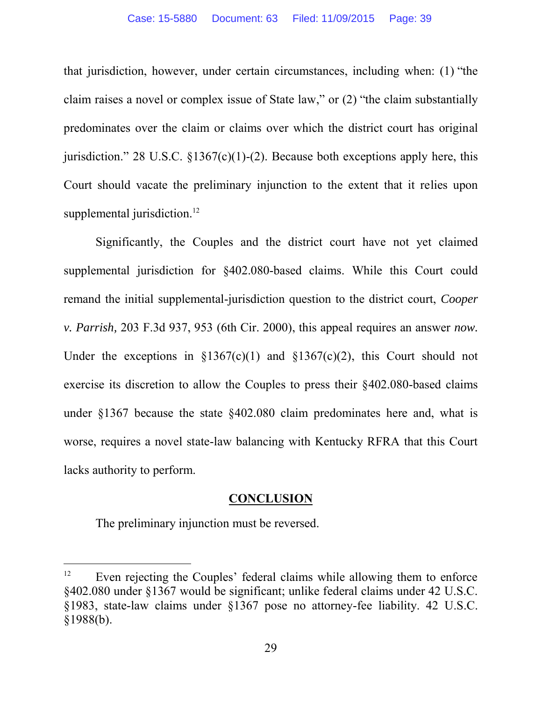that jurisdiction, however, under certain circumstances, including when: (1) "the claim raises a novel or complex issue of State law," or (2) "the claim substantially predominates over the claim or claims over which the district court has original jurisdiction." 28 U.S.C.  $\S 1367(c)(1)-(2)$ . Because both exceptions apply here, this Court should vacate the preliminary injunction to the extent that it relies upon supplemental jurisdiction.<sup>12</sup>

Significantly, the Couples and the district court have not yet claimed supplemental jurisdiction for §402.080-based claims. While this Court could remand the initial supplemental-jurisdiction question to the district court, *Cooper v. Parrish,* 203 F.3d 937, 953 (6th Cir. 2000), this appeal requires an answer *now.* Under the exceptions in  $$1367(c)(1)$  and  $$1367(c)(2)$ , this Court should not exercise its discretion to allow the Couples to press their §402.080-based claims under §1367 because the state §402.080 claim predominates here and, what is worse, requires a novel state-law balancing with Kentucky RFRA that this Court lacks authority to perform.

### **CONCLUSION**

The preliminary injunction must be reversed.

 $\overline{a}$ 

<sup>&</sup>lt;sup>12</sup> Even rejecting the Couples' federal claims while allowing them to enforce §402.080 under §1367 would be significant; unlike federal claims under 42 U.S.C. §1983, state-law claims under §1367 pose no attorney-fee liability. 42 U.S.C.  $§1988(b).$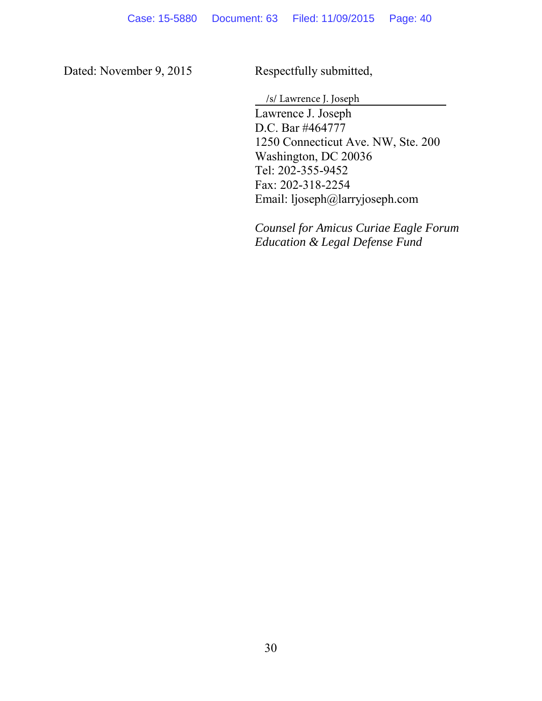Dated: November 9, 2015 Respectfully submitted,

/s/ Lawrence J. Joseph

Lawrence J. Joseph D.C. Bar #464777 1250 Connecticut Ave. NW, Ste. 200 Washington, DC 20036 Tel: 202-355-9452 Fax: 202-318-2254 Email: ljoseph@larryjoseph.com

*Counsel for Amicus Curiae Eagle Forum Education & Legal Defense Fund*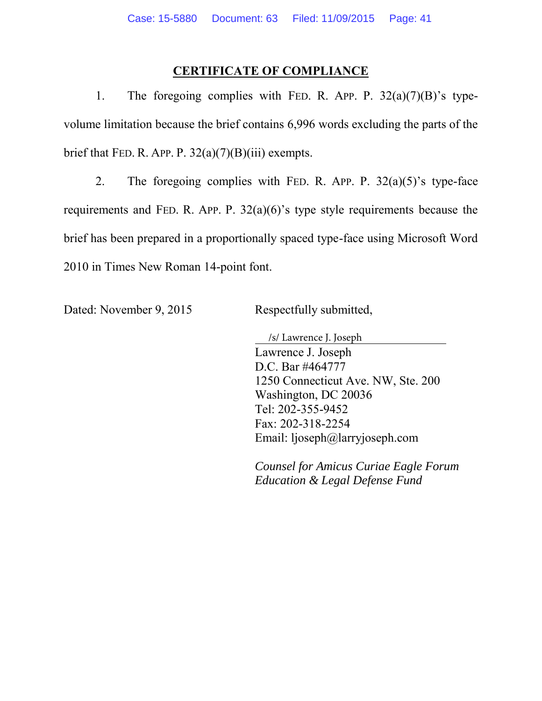### **CERTIFICATE OF COMPLIANCE**

1. The foregoing complies with FED. R. APP. P.  $32(a)(7)(B)$ 's typevolume limitation because the brief contains 6,996 words excluding the parts of the brief that FED. R. APP. P.  $32(a)(7)(B)(iii)$  exempts.

2. The foregoing complies with FED. R. APP. P.  $32(a)(5)$ 's type-face requirements and FED. R. APP. P. 32(a)(6)'s type style requirements because the brief has been prepared in a proportionally spaced type-face using Microsoft Word 2010 in Times New Roman 14-point font.

Dated: November 9, 2015 Respectfully submitted,

Lawrence J. Joseph D.C. Bar #464777 1250 Connecticut Ave. NW, Ste. 200 Washington, DC 20036 Tel: 202-355-9452 Fax: 202-318-2254 Email: ljoseph@larryjoseph.com /s/ Lawrence J. Joseph

*Counsel for Amicus Curiae Eagle Forum Education & Legal Defense Fund*